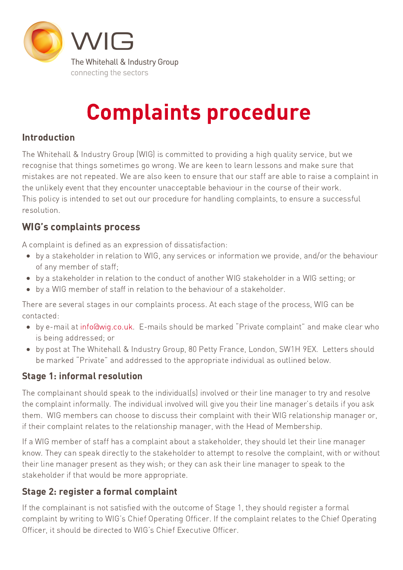

# Complaints procedure

## Introduction

The Whitehall & Industry Group (WIG) is committed to providing a high quality service, but we recognise that things sometimes go wrong. We are keen to learn lessons and make sure that mistakes are not repeated. We are also keen to ensure that our staff are able to raise a complaint in the unlikely event that they encounter unacceptable behaviour in the course of their work. This policy is intended to set out our procedure for handling complaints, to ensure a successful resolution.

# WIG's complaints process

A complaint is defined as an expression of dissatisfaction:

- by a stakeholder in relation to WIG, any services or information we provide, and/or the behaviour of any member of staff;
- by a stakeholder in relation to the conduct of another WIG stakeholder in a WIG setting; or
- by a WIG member of staff in relation to the behaviour of a stakeholder.

There are several stages in our complaints process. At each stage of the process, WIG can be contacted:

- by e-mail at [info@wig.co.uk](mailto:info@wig.co.uk). E-mails should be marked "Private complaint" and make clear who is being addressed; or
- by post at The Whitehall & Industry Group, 80 Petty France, London, SW1H 9EX. Letters should be marked "Private" and addressed to the appropriate individual as outlined below.

## Stage 1: informal resolution

The complainant should speak to the individual(s) involved or their line manager to try and resolve the complaint informally. The individual involved will give you their line manager's details if you ask them. WIG members can choose to discuss their complaint with their WIG relationship manager or, if their complaint relates to the relationship manager, with the Head of Membership.

If a WIG member of staff has a complaint about a stakeholder, they should let their line manager know. They can speak directly to the stakeholder to attempt to resolve the complaint, with or without their line manager present as they wish; or they can ask their line manager to speak to the stakeholder if that would be more appropriate.

# Stage 2: register a formal complaint

If the complainant is not satisfied with the outcome of Stage 1, they should register a formal complaint by writing to WIG's Chief Operating Officer. If the complaint relates to the Chief Operating Officer, it should be directed to WIG's Chief Executive Officer.